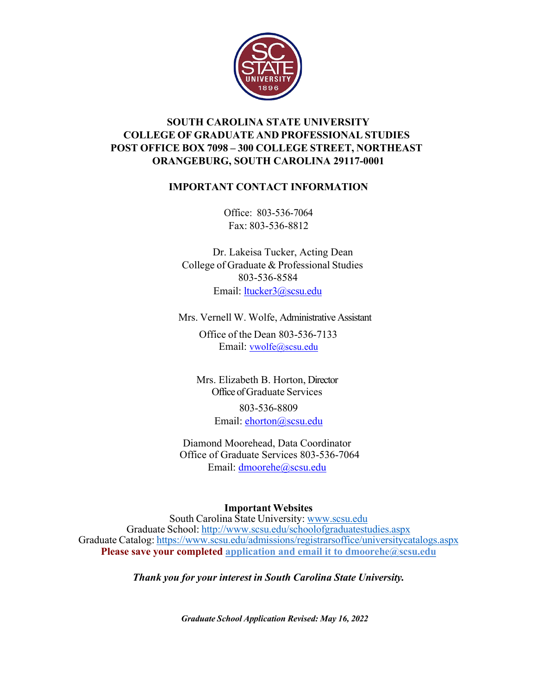

## **SOUTH CAROLINA STATE UNIVERSITY COLLEGE OF GRADUATE AND PROFESSIONAL STUDIES POST OFFICE BOX 7098 – 300 COLLEGE STREET, NORTHEAST ORANGEBURG, SOUTH CAROLINA 29117-0001**

### **IMPORTANT CONTACT INFORMATION**

Office: 803-536-7064 Fax: 803-536-8812

 Dr. Lakeisa Tucker, Acting Dean College of Graduate & Professional Studies 803-536-8584 Email: ltucker3@scsu.edu

Mrs. Vernell W. Wolfe, Administrative Assistant

Office of the Dean 803-536-7133 Email: vwolfe@scsu.edu

Mrs. Elizabeth B. Horton, Director Office of Graduate Services

> 803-536-8809 Email: ehorton@scsu.edu

Diamond Moorehead, Data Coordinator Office of Graduate Services 803-536-7064 Email: dmoorehe@scsu.edu

**Important Websites**

South Carolina State University: www.scsu.edu Graduate School: http://www.scsu.edu/schoolofgraduatestudies.aspx Graduate Catalog: https://www.scsu.edu/admissions/registrarsoffice/universitycatalogs.aspx **Please save your completed application and email it to dmoorehe@scsu.edu**

*Thank you for your interest in South Carolina State University.*

*Graduate School Application Revised: May 16, 2022*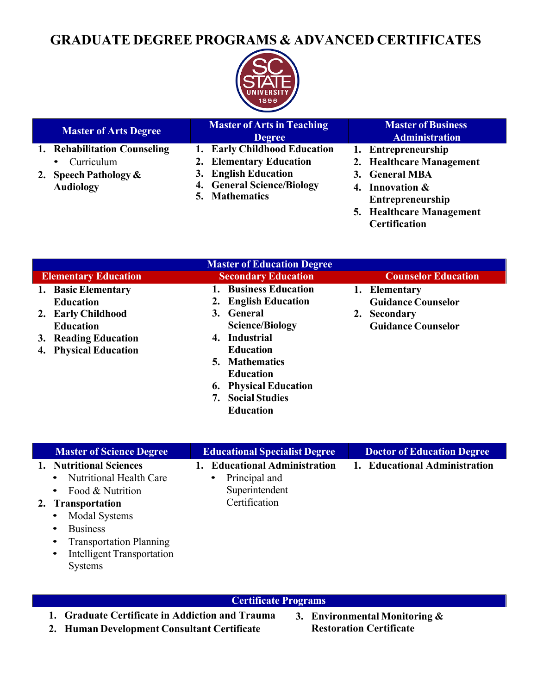# **GRADUATE DEGREE PROGRAMS & ADVANCED CERTIFICATES**



| <b>Master of Arts Degree</b>                                                                                 | <b>Master of Arts in Teaching</b><br><b>Degree</b>                                                                                     | <b>Master of Business</b><br><b>Administration</b>                                                                                                                    |
|--------------------------------------------------------------------------------------------------------------|----------------------------------------------------------------------------------------------------------------------------------------|-----------------------------------------------------------------------------------------------------------------------------------------------------------------------|
| 1. Rehabilitation Counseling<br>Curriculum<br>$\bullet$<br><b>Speech Pathology &amp;</b><br><b>Audiology</b> | 1. Early Childhood Education<br>2. Elementary Education<br>3. English Education<br>4. General Science/Biology<br><b>5. Mathematics</b> | 1. Entrepreneurship<br>2. Healthcare Management<br>3. General MBA<br>4. Innovation $&$<br><b>Entrepreneurship</b><br>5. Healthcare Management<br><b>Certification</b> |

| <b>Master of Education Degree</b> |                                 |                            |  |  |  |  |  |
|-----------------------------------|---------------------------------|----------------------------|--|--|--|--|--|
| <b>Elementary Education</b>       | <b>Secondary Education</b>      | <b>Counselor Education</b> |  |  |  |  |  |
| 1. Basic Elementary               | <b>Business Education</b>       | 1. Elementary              |  |  |  |  |  |
| <b>Education</b>                  | <b>English Education</b>        | <b>Guidance Counselor</b>  |  |  |  |  |  |
| 2. Early Childhood                | 3. General                      | 2. Secondary               |  |  |  |  |  |
| <b>Education</b>                  | <b>Science/Biology</b>          | <b>Guidance Counselor</b>  |  |  |  |  |  |
| 3. Reading Education              | 4. Industrial                   |                            |  |  |  |  |  |
| 4. Physical Education             | <b>Education</b>                |                            |  |  |  |  |  |
|                                   | <b>5. Mathematics</b>           |                            |  |  |  |  |  |
|                                   | <b>Education</b>                |                            |  |  |  |  |  |
|                                   | <b>Physical Education</b><br>6. |                            |  |  |  |  |  |
|                                   | <b>Social Studies</b>           |                            |  |  |  |  |  |
|                                   | <b>Education</b>                |                            |  |  |  |  |  |

| <b>Master of Science Degree</b>                                                                                                                               | <b>Educational Specialist Degree</b>                                              | <b>Doctor of Education Degree</b> |
|---------------------------------------------------------------------------------------------------------------------------------------------------------------|-----------------------------------------------------------------------------------|-----------------------------------|
| 1. Nutritional Sciences<br><b>Nutritional Health Care</b><br>Food & Nutrition                                                                                 | <b>Educational Administration</b><br>Principal and<br>$\bullet$<br>Superintendent | 1. Educational Administration     |
| 2. Transportation<br><b>Modal Systems</b><br><b>Business</b><br>• Transportation Planning<br><b>Intelligent Transportation</b><br>$\bullet$<br><b>Systems</b> | Certification                                                                     |                                   |

### **Certificate Programs**

- **1. Graduate Certificate in Addiction and Trauma**
- **2. Human Development Consultant Certificate**
- **3. Environmental Monitoring & Restoration Certificate**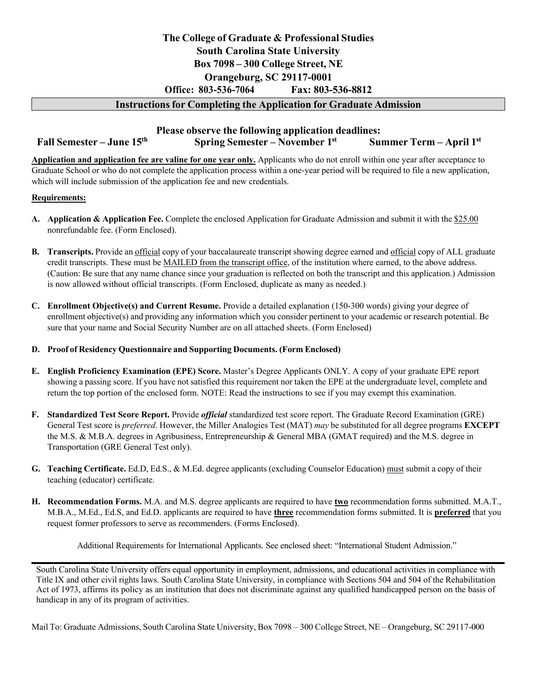# **The College of Graduate & Professional Studies South Carolina State University Box 7098 – 300 College Street, NE Orangeburg, SC 29117-0001 Office: 803-536-7064 Fax: 803-536-8812**

#### **Instructions for Completing the Application for Graduate Admission**

### **Please observe the following application deadlines: Fall Semester – June 15th Spring Semester – November 1st Summer Term – April 1st**

**Application and application fee are valine for one year only.** Applicants who do not enroll within one year after acceptance to Graduate School or who do not complete the application process within a one-year period will be required to file a new application, which will include submission of the application fee and new credentials.

#### **Requirements:**

- **A. Application & Application Fee.** Complete the enclosed Application for Graduate Admission and submit it with the \$25.00 nonrefundable fee. (Form Enclosed).
- **B. Transcripts.** Provide an official copy of your baccalaureate transcript showing degree earned and official copy of ALL graduate credit transcripts. These must be MAILED from the transcript office, of the institution where earned, to the above address. (Caution: Be sure that any name chance since your graduation is reflected on both the transcript and this application.) Admission is now allowed without official transcripts. (Form Enclosed, duplicate as many as needed.)
- **C. Enrollment Objective(s) and Current Resume.** Provide a detailed explanation (150-300 words) giving your degree of enrollment objective(s) and providing any information which you consider pertinent to your academic or research potential. Be sure that your name and Social Security Number are on all attached sheets. (Form Enclosed)
- **D. Proof of Residency Questionnaire and Supporting Documents. (Form Enclosed)**
- **E. English Proficiency Examination (EPE) Score.** Master's Degree Applicants ONLY. A copy of your graduate EPE report showing a passing score. If you have not satisfied this requirement nor taken the EPE at the undergraduate level, complete and return the top portion of the enclosed form. NOTE: Read the instructions to see if you may exempt this examination.
- **F. Standardized Test Score Report.** Provide *official* standardized test score report. The Graduate Record Examination (GRE) General Test score is *preferred*. However, the Miller Analogies Test (MAT) *may* be substituted for all degree programs **EXCEPT**  the M.S. & M.B.A. degrees in Agribusiness, Entrepreneurship & General MBA (GMAT required) and the M.S. degree in Transportation (GRE General Test only).
- **G. Teaching Certificate.** Ed.D, Ed.S., & M.Ed. degree applicants (excluding Counselor Education) must submit a copy of their teaching (educator) certificate.
- **H. Recommendation Forms.** M.A. and M.S. degree applicants are required to have **two** recommendation forms submitted. M.A.T., M.B.A., M.Ed., Ed.S, and Ed.D. applicants are required to have **three** recommendation forms submitted. It is **preferred** that you request former professors to serve as recommenders. (Forms Enclosed).

Additional Requirements for International Applicants. See enclosed sheet: "International Student Admission."

South Carolina State University offers equal opportunity in employment, admissions, and educational activities in compliance with Title IX and other civil rights laws. South Carolina State University, in compliance with Sections 504 and 504 of the Rehabilitation Act of 1973, affirms its policy as an institution that does not discriminate against any qualified handicapped person on the basis of handicap in any of its program of activities.

Mail To: Graduate Admissions, South Carolina State University, Box 7098 – 300 College Street, NE – Orangeburg, SC 29117-000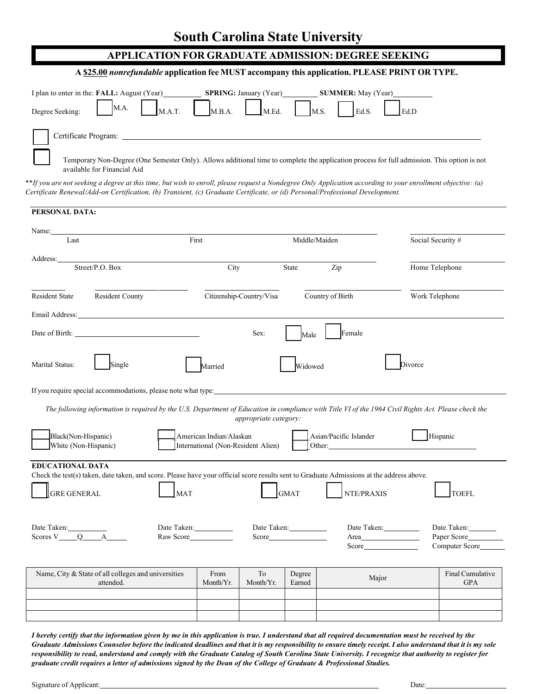### **APPLICATION FOR GRADUATE ADMISSION: DEGREE SEEKING**

#### **A \$25.00** *nonrefundable* **application fee MUST accompany this application. PLEASE PRINT OR TYPE.**

| I plan to enter in the: <b>FALL</b> : August (Year)<br>Degree Seeking: $M.A.$ $M.A.T.$ $M.B.A.$ $M.E.d.$ $M.E.d.$ $L.S.$ $L.d.S.$ |                             |  |  | <b>SPRING:</b> January (Year) <b>SUMMER:</b> May (Year)                                                                                     |  |
|-----------------------------------------------------------------------------------------------------------------------------------|-----------------------------|--|--|---------------------------------------------------------------------------------------------------------------------------------------------|--|
|                                                                                                                                   |                             |  |  |                                                                                                                                             |  |
|                                                                                                                                   | available for Financial Aid |  |  | Temporary Non-Degree (One Semester Only). Allows additional time to complete the application process for full admission. This option is not |  |

\*\*If you are not seeking a degree at this time, but wish to enroll, please request a Nondegree Only Application according to your enrollment objective: (a) *Certificate Renewal/Add-on Certification, (b) Transient, (c) Graduate Certificate, or (d) Personal/Professional Development.*

| Name:<br>Last           |                                                                                                                                                                                                                                | First                   |                                    | Middle/Maiden    |                                                                                                                                           | Social Security #                                                                                                                                    |
|-------------------------|--------------------------------------------------------------------------------------------------------------------------------------------------------------------------------------------------------------------------------|-------------------------|------------------------------------|------------------|-------------------------------------------------------------------------------------------------------------------------------------------|------------------------------------------------------------------------------------------------------------------------------------------------------|
| Address:                |                                                                                                                                                                                                                                |                         |                                    |                  |                                                                                                                                           |                                                                                                                                                      |
|                         | Street/P.O. Box                                                                                                                                                                                                                |                         | City                               | <b>State</b>     | Zip                                                                                                                                       | Home Telephone                                                                                                                                       |
| Resident State          | <b>Resident County</b>                                                                                                                                                                                                         |                         | Citizenship-Country/Visa           |                  | Country of Birth                                                                                                                          | Work Telephone                                                                                                                                       |
|                         | Email Address: No. 1996. The Contract of the Contract of the Contract of the Contract of the Contract of the Contract of the Contract of the Contract of the Contract of the Contract of the Contract of the Contract of the C |                         |                                    |                  |                                                                                                                                           |                                                                                                                                                      |
|                         |                                                                                                                                                                                                                                |                         | Sex:                               | Male             | Female                                                                                                                                    |                                                                                                                                                      |
| Marital Status:         | Single                                                                                                                                                                                                                         | Married                 |                                    | Widowed          |                                                                                                                                           | Divorce                                                                                                                                              |
|                         |                                                                                                                                                                                                                                |                         |                                    |                  |                                                                                                                                           |                                                                                                                                                      |
|                         |                                                                                                                                                                                                                                |                         |                                    |                  |                                                                                                                                           |                                                                                                                                                      |
|                         |                                                                                                                                                                                                                                |                         |                                    |                  |                                                                                                                                           |                                                                                                                                                      |
|                         |                                                                                                                                                                                                                                |                         |                                    |                  |                                                                                                                                           |                                                                                                                                                      |
|                         |                                                                                                                                                                                                                                |                         | appropriate category:              |                  |                                                                                                                                           | The following information is required by the U.S. Department of Education in compliance with Title VI of the 1964 Civil Rights Act. Please check the |
| Black(Non-Hispanic)     |                                                                                                                                                                                                                                | American Indian/Alaskan |                                    |                  | Asian/Pacific Islander                                                                                                                    | Hispanic                                                                                                                                             |
| White (Non-Hispanic)    |                                                                                                                                                                                                                                |                         | International (Non-Resident Alien) |                  | Other:                                                                                                                                    |                                                                                                                                                      |
| <b>EDUCATIONAL DATA</b> |                                                                                                                                                                                                                                |                         |                                    |                  |                                                                                                                                           |                                                                                                                                                      |
|                         |                                                                                                                                                                                                                                |                         |                                    |                  | Check the test(s) taken, date taken, and score. Please have your official score results sent to Graduate Admissions at the address above. |                                                                                                                                                      |
| <b>GRE GENERAL</b>      |                                                                                                                                                                                                                                | <b>MAT</b>              |                                    | GMAT             | NTE/PRAXIS                                                                                                                                | <b>TOEFL</b>                                                                                                                                         |
|                         |                                                                                                                                                                                                                                |                         |                                    |                  |                                                                                                                                           |                                                                                                                                                      |
|                         |                                                                                                                                                                                                                                | Date Taken: 1997        |                                    | Date Taken:      | Date Taken:                                                                                                                               | Date Taken:                                                                                                                                          |
|                         |                                                                                                                                                                                                                                | Raw Score               |                                    | Score            | Area                                                                                                                                      | Paper Score                                                                                                                                          |
|                         |                                                                                                                                                                                                                                |                         |                                    |                  | Score                                                                                                                                     | Computer Score                                                                                                                                       |
|                         | Name, City & State of all colleges and universities<br>attended.                                                                                                                                                               | From<br>Month/Yr.       | To<br>Month/Yr.                    | Degree<br>Earned | Major                                                                                                                                     | Final Cumulative<br><b>GPA</b>                                                                                                                       |

*I hereby certify that the information given by me in this application is true. I understand that all required documentation must be received by the*  Graduate Admissions Counselor before the indicated deadlines and that it is my responsibility to ensure timely receipt. I also understand that it is my sole *responsibility to read, understand and comply with the Graduate Catalog of South Carolina State University. I recognize that authority to register for graduate credit requires a letter of admissions signed by the Dean of the College of Graduate & Professional Studies.*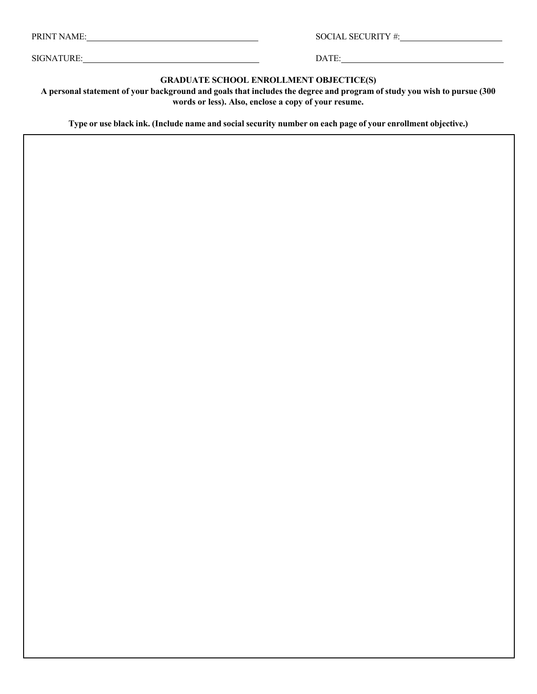PRINT NAME: SOCIAL SECURITY #:

SIGNATURE: DATE:

**GRADUATE SCHOOL ENROLLMENT OBJECTICE(S)**

A personal statement of your background and goals that includes the degree and program of study you wish to pursue (300 **words or less). Also, enclose a copy of your resume.**

Type or use black ink. (Include name and social security number on each page of your enrollment objective.)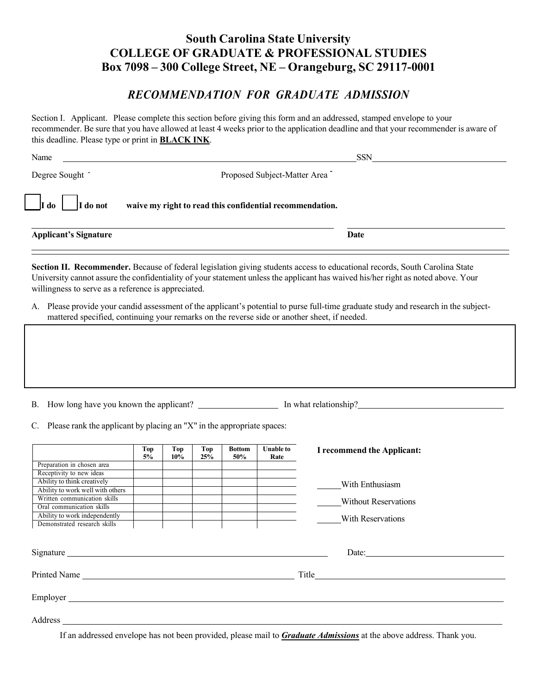# **South Carolina State University COLLEGE OF GRADUATE & PROFESSIONAL STUDIES Box 7098 – 300 College Street, NE – Orangeburg, SC 29117-0001**

## *RECOMMENDATION FOR GRADUATE ADMISSION*

Section I. Applicant. Please complete this section before giving this form and an addressed, stamped envelope to your recommender. Be sure that you have allowed at least 4 weeks prior to the application deadline and that your recommender is aware of this deadline. Please type or print in **BLACK INK**.

| Name                                                      |                                                          | <b>SSN</b> |
|-----------------------------------------------------------|----------------------------------------------------------|------------|
| Degree Sought                                             | Proposed Subject-Matter Area                             |            |
| $\overline{\phantom{a}}$ I do<br>$\vert$ $\vert$ I do not | waive my right to read this confidential recommendation. |            |
| <b>Applicant's Signature</b>                              |                                                          | Date       |

**Section II. Recommender.** Because of federal legislation giving students access to educational records, South Carolina State University cannot assure the confidentiality of your statement unless the applicant has waived his/her right as noted above. Your willingness to serve as a reference is appreciated.

A. Please provide your candid assessment of the applicant's potential to purse full-time graduate study and research in the subjectmattered specified, continuing your remarks on the reverse side or another sheet, if needed.

B. How long have you known the applicant? In what relationship?

C. Please rank the applicant by placing an "X" in the appropriate spaces:

|                                  | Top<br>5% | Top<br>$10\%$ | Top<br>25% | <b>Bottom</b><br>50% | <b>Unable to</b><br>Rate | I recommend the Applicant:  |
|----------------------------------|-----------|---------------|------------|----------------------|--------------------------|-----------------------------|
| Preparation in chosen area       |           |               |            |                      |                          |                             |
| Receptivity to new ideas         |           |               |            |                      |                          |                             |
| Ability to think creatively      |           |               |            |                      |                          | With Enthusiasm             |
| Ability to work well with others |           |               |            |                      |                          |                             |
| Written communication skills     |           |               |            |                      |                          | <b>Without Reservations</b> |
| Oral communication skills        |           |               |            |                      |                          |                             |
| Ability to work independently    |           |               |            |                      |                          | With Reservations           |
| Demonstrated research skills     |           |               |            |                      |                          |                             |
|                                  |           |               |            |                      |                          | Date:                       |
| Printed Name                     |           |               |            |                      |                          |                             |
| Employer                         |           |               |            |                      |                          |                             |
| Address                          |           |               |            |                      |                          |                             |

If an addressed envelope has not been provided, please mail to *Graduate Admissions* at the above address. Thank you.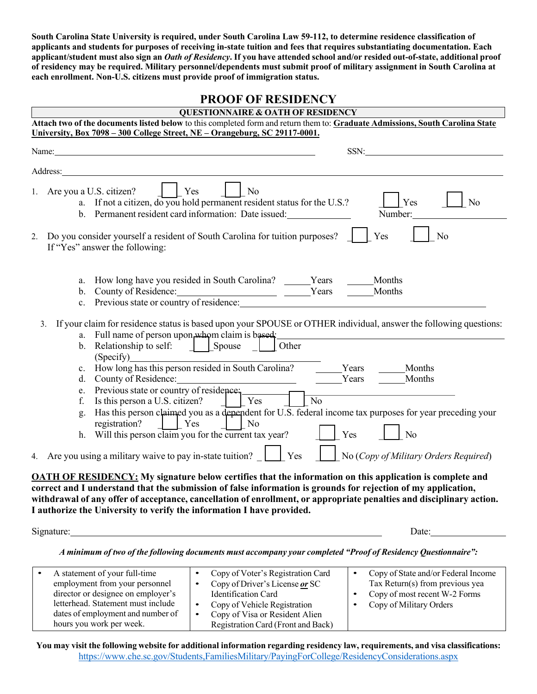**South Carolina State University is required, under South Carolina Law 59-112, to determine residence classification of applicants and students for purposes of receiving in-state tuition and fees that requires substantiating documentation. Each**  applicant/student must also sign an Oath of Residency. If you have attended school and/or resided out-of-state, additional proof **of residency may be required. Military personnel/dependents must submit proof of military assignment in South Carolina at each enrollment. Non-U.S. citizens must provide proof of immigration status.**

## **PROOF OF RESIDENCY**

| <b>QUESTIONNAIRE &amp; OATH OF RESIDENCY</b>                                                                                                                                                                                                                                                                                                                                                                                                                                                                  |
|---------------------------------------------------------------------------------------------------------------------------------------------------------------------------------------------------------------------------------------------------------------------------------------------------------------------------------------------------------------------------------------------------------------------------------------------------------------------------------------------------------------|
| Attach two of the documents listed below to this completed form and return them to: Graduate Admissions, South Carolina State                                                                                                                                                                                                                                                                                                                                                                                 |
| University, Box 7098 - 300 College Street, NE - Orangeburg, SC 29117-0001.                                                                                                                                                                                                                                                                                                                                                                                                                                    |
| SSN:<br>Name:                                                                                                                                                                                                                                                                                                                                                                                                                                                                                                 |
| Address:                                                                                                                                                                                                                                                                                                                                                                                                                                                                                                      |
| Are you a U.S. citizen?<br>Yes<br>N <sub>o</sub><br>1.<br>a. If not a citizen, do you hold permanent resident status for the U.S.?<br>Yes<br>No<br>b. Permanent resident card information: Date issued:<br>Number:<br>Yes<br>Do you consider yourself a resident of South Carolina for tuition purposes?<br>No<br>2.                                                                                                                                                                                          |
| If "Yes" answer the following:                                                                                                                                                                                                                                                                                                                                                                                                                                                                                |
| How long have you resided in South Carolina? ______Years<br>Months<br>a.<br>County of Residence: Years<br>Previous state or country of residence:<br>Months<br>$b_{1}$<br>$c_{\cdot}$<br>If your claim for residence status is based upon your SPOUSE or OTHER individual, answer the following questions:<br>3.<br>a. Full name of person upon whom claim is based:<br>Other<br>b. Relationship to self:<br>Spouse<br>(Specify)<br>c. How long has this person resided in South Carolina?<br>Years<br>Months |
| Years<br>Months<br>Previous state or country of residence.<br>e.<br>$\overline{N_0}$<br>Is this person a U.S. citizen?<br>$\vert$ Yes<br>f.<br>Has this person claimed you as a dependent for U.S. federal income tax purposes for year preceding your<br>g.<br>registration?<br>N <sub>o</sub><br>Yes<br>No<br>Will this person claim you for the current tax year?<br>h.                                                                                                                                    |
| No (Copy of Military Orders Required)<br>Are you using a military waive to pay in-state tuition?<br>Yes<br>4.                                                                                                                                                                                                                                                                                                                                                                                                 |
| <b>OATH OF RESIDENCY:</b> My signature below certifies that the information on this application is complete and<br>correct and I understand that the submission of false information is grounds for rejection of my application,<br>withdrawal of any offer of acceptance, cancellation of enrollment, or appropriate penalties and disciplinary action.<br>I authorize the University to verify the information I have provided.<br>Signature:<br>Date:                                                      |

*A minimum of two of the following documents must accompany your completed "Proof of Residency Questionnaire":*

| A statement of your full-time<br>employment from your personnel<br>director or designee on employer's<br>letterhead. Statement must include |           | Copy of Voter's Registration Card<br>Copy of Driver's License or SC<br>Identification Card<br>Copy of Vehicle Registration | Copy of State and/or Federal Income<br>Tax Return(s) from previous yea<br>Copy of most recent W-2 Forms<br>Copy of Military Orders |
|---------------------------------------------------------------------------------------------------------------------------------------------|-----------|----------------------------------------------------------------------------------------------------------------------------|------------------------------------------------------------------------------------------------------------------------------------|
| dates of employment and number of                                                                                                           | $\bullet$ | Copy of Visa or Resident Alien                                                                                             |                                                                                                                                    |
| hours you work per week.                                                                                                                    |           | Registration Card (Front and Back)                                                                                         |                                                                                                                                    |

You may visit the following website for additional information regarding residency law, requirements, and visa classifications: https://www.che.sc.gov/Students,FamiliesMilitary/PayingForCollege/ResidencyConsiderations.aspx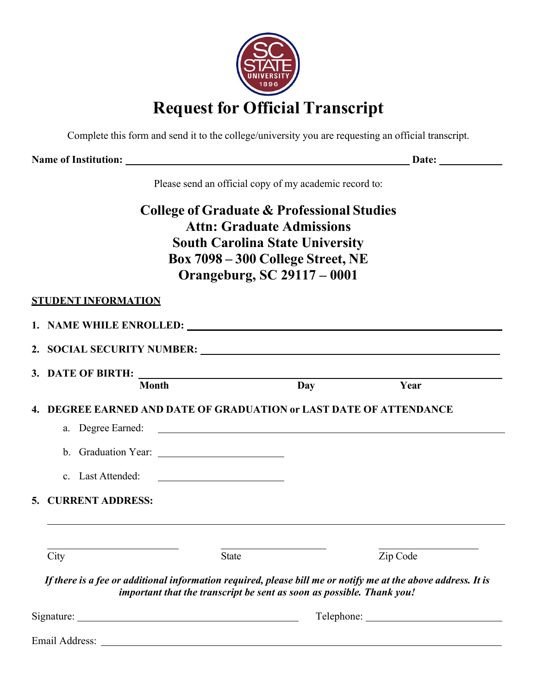

Complete this form and send it to the college/university you are requesting an official transcript.

**Name of Institution: Date:** 

Please send an official copy of my academic record to:

# **College of Graduate & Professional Studies Attn: Graduate Admissions South Carolina State University Box 7098 – 300 College Street, NE Orangeburg, SC 29117 – 0001**

## **STUDENT INFORMATION**

| <b>Month</b>                                                                                                          |                                                                                       | Day | Year     |
|-----------------------------------------------------------------------------------------------------------------------|---------------------------------------------------------------------------------------|-----|----------|
| 4. DEGREE EARNED AND DATE OF GRADUATION or LAST DATE OF ATTENDANCE<br>c. Last Attended:                               | <u> 1989 - Andrea Barbara, poeta espainiar por esta</u>                               |     |          |
| 5. CURRENT ADDRESS:                                                                                                   |                                                                                       |     |          |
| City<br>If there is a fee or additional information required, please bill me or notify me at the above address. It is | <b>State</b><br>important that the transcript be sent as soon as possible. Thank you! |     | Zip Code |
|                                                                                                                       |                                                                                       |     |          |

Email Address: